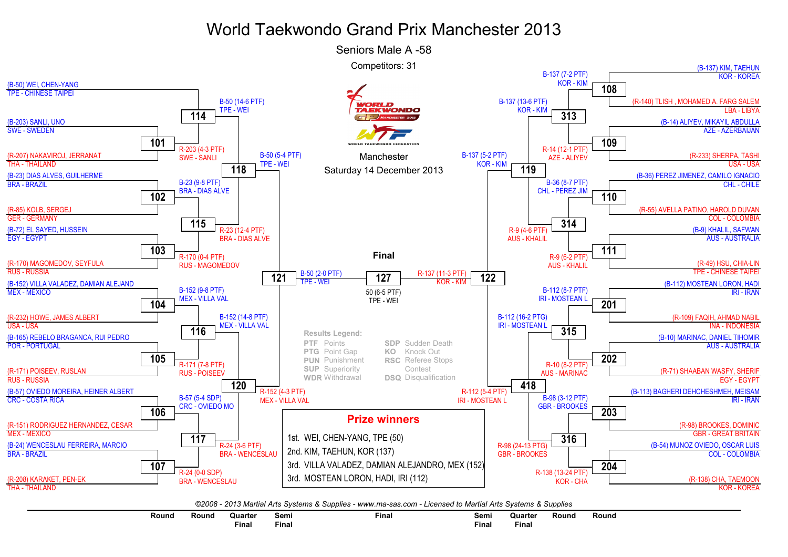## World Taekwondo Grand Prix Manchester 2013

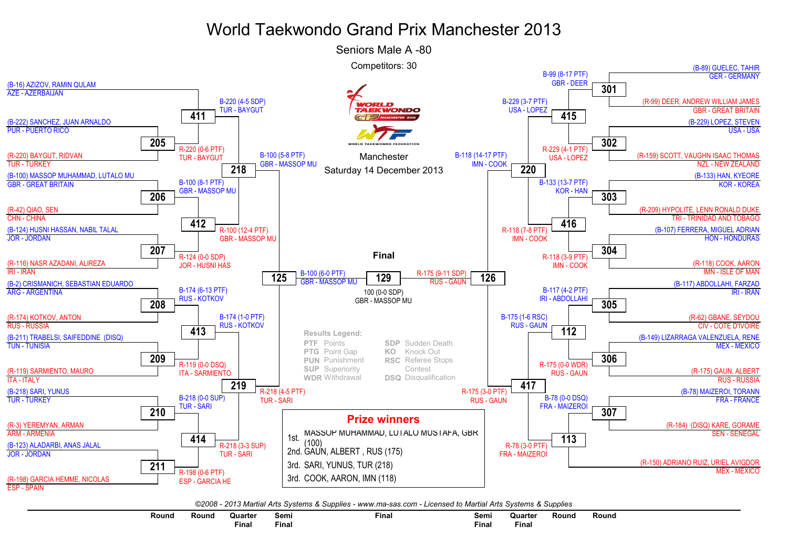## World Taekwondo Grand Prix Manchester 2013



©2008 - 2013 Martial Arts Systems & Supplies - www.ma-sas.com - Licensed to Martial Arts Systems & Supplies

| Round | Round<br>. | Quarter      | Semi<br>$  -$ | Final | Semi<br>___ | Quarter  | Round | Round |
|-------|------------|--------------|---------------|-------|-------------|----------|-------|-------|
|       |            | <b>Final</b> | $F$ inal      |       | Final       | $F$ inal |       |       |